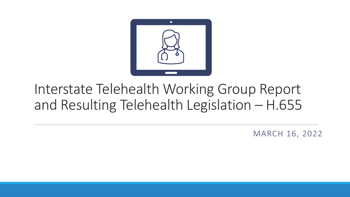

# Interstate Telehealth Working Group Report and Resulting Telehealth Legislation – H.655

MARCH 16, 2022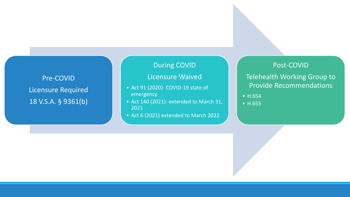Pre -COVID Licensure Required 18 V.S.A. § 9361(b)

#### During COVID

#### Licensure Waived

- Act 91 (2020)- COVID-19 state of emergency
- Act 140 (2021) extended to March 31, 2021
- Act 6 (2021) extended to March 2022

Post -COVID

Telehealth Working Group to Provide Recommendations

- H.654
- H.655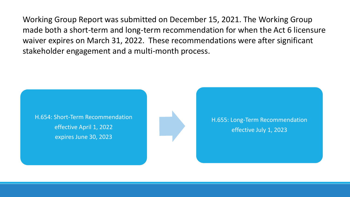Working Group Report was submitted on December 15, 2021. The Working Group made both a short-term and long-term recommendation for when the Act 6 licensure waiver expires on March 31, 2022. These recommendations were after significant stakeholder engagement and a multi-month process.

H.654: Short-Term Recommendation effective April 1, 2022 expires June 30, 2023



H.655: Long-Term Recommendation effective July 1, 2023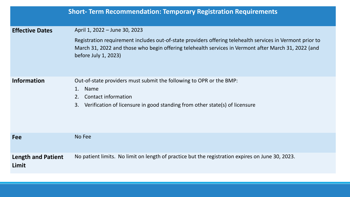|                                    | <b>Short- Term Recommendation: Temporary Registration Requirements</b>                                                                                                                                                                                                     |
|------------------------------------|----------------------------------------------------------------------------------------------------------------------------------------------------------------------------------------------------------------------------------------------------------------------------|
| <b>Effective Dates</b>             | April 1, 2022 - June 30, 2023<br>Registration requirement includes out-of-state providers offering telehealth services in Vermont prior to<br>March 31, 2022 and those who begin offering telehealth services in Vermont after March 31, 2022 (and<br>before July 1, 2023) |
| <b>Information</b>                 | Out-of-state providers must submit the following to OPR or the BMP:<br>1. Name<br>2. Contact information<br>Verification of licensure in good standing from other state(s) of licensure<br>3.                                                                              |
| <b>Fee</b>                         | No Fee                                                                                                                                                                                                                                                                     |
| <b>Length and Patient</b><br>Limit | No patient limits. No limit on length of practice but the registration expires on June 30, 2023.                                                                                                                                                                           |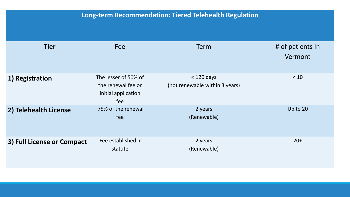### **Long-term Recommendation: Tiered Telehealth Regulation**

| <b>Tier</b>                | Fee                                                                      | <b>Term</b>                                    | # of patients In<br>Vermont |
|----------------------------|--------------------------------------------------------------------------|------------------------------------------------|-----------------------------|
| 1) Registration            | The lesser of 50% of<br>the renewal fee or<br>initial application<br>fee | $<$ 120 days<br>(not renewable within 3 years) | < 10                        |
| 2) Telehealth License      | 75% of the renewal<br>fee                                                | 2 years<br>(Renewable)                         | Up to 20                    |
| 3) Full License or Compact | Fee established in<br>statute                                            | 2 years<br>(Renewable)                         | $20+$                       |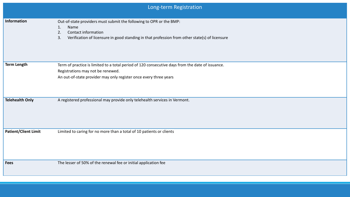|                             | Long-term Registration                                                                                                                                                                                                 |
|-----------------------------|------------------------------------------------------------------------------------------------------------------------------------------------------------------------------------------------------------------------|
| Information                 | Out-of-state providers must submit the following to OPR or the BMP:<br>Name<br>1.<br>Contact information<br>2.<br>Verification of licensure in good standing in that profession from other state(s) of licensure<br>3. |
| <b>Term Length</b>          | Term of practice is limited to a total period of 120 consecutive days from the date of issuance.<br>Registrations may not be renewed.<br>An out-of-state provider may only register once every three years             |
| <b>Telehealth Only</b>      | A registered professional may provide only telehealth services in Vermont.                                                                                                                                             |
| <b>Patient/Client Limit</b> | Limited to caring for no more than a total of 10 patients or clients                                                                                                                                                   |
| <b>Fees</b>                 | The lesser of 50% of the renewal fee or initial application fee                                                                                                                                                        |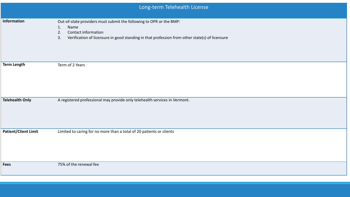|                             | Long-term Telehealth License                                                                                                                                                                                           |
|-----------------------------|------------------------------------------------------------------------------------------------------------------------------------------------------------------------------------------------------------------------|
| Information                 | Out-of-state providers must submit the following to OPR or the BMP:<br>Name<br>1.<br>Contact information<br>2.<br>Verification of licensure in good standing in that profession from other state(s) of licensure<br>3. |
| <b>Term Length</b>          | Term of 2 Years                                                                                                                                                                                                        |
| <b>Telehealth Only</b>      | A registered professional may provide only telehealth services in Vermont.                                                                                                                                             |
| <b>Patient/Client Limit</b> | Limited to caring for no more than a total of 20 patients or clients                                                                                                                                                   |
| <b>Fees</b>                 | 75% of the renewal fee                                                                                                                                                                                                 |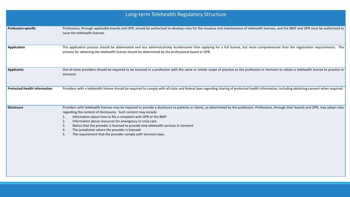| Long-term Telehealth Regulatory Structure |                                                                                                                                                                                                                                                                                                                                                                                                                                                                                                                                                                                                                                            |  |
|-------------------------------------------|--------------------------------------------------------------------------------------------------------------------------------------------------------------------------------------------------------------------------------------------------------------------------------------------------------------------------------------------------------------------------------------------------------------------------------------------------------------------------------------------------------------------------------------------------------------------------------------------------------------------------------------------|--|
| <b>Profession-specific</b>                | Professions, through applicable boards and OPR, should be authorized to develop rules for the issuance and maintenance of telehealth licenses, and the BMP and OPR must be authorized to<br>issue the telehealth licenses.                                                                                                                                                                                                                                                                                                                                                                                                                 |  |
| <b>Application</b>                        | The application process should be abbreviated and less administratively burdensome than applying for a full license, but more comprehensive than the registration requirements. The<br>process for obtaining the telehealth license should be determined by the professional board or OPR.                                                                                                                                                                                                                                                                                                                                                 |  |
| <b>Applicants</b>                         | Out-of-state providers should be required to be licensed in a profession with the same or similar scope of practice as the profession in Vermont to obtain a telehealth license to practice in<br>Vermont.                                                                                                                                                                                                                                                                                                                                                                                                                                 |  |
| <b>Protected Health Information</b>       | Providers with a telehealth license should be required to comply with all state and federal laws regarding sharing of protected health information, including obtaining consent when required.                                                                                                                                                                                                                                                                                                                                                                                                                                             |  |
| <b>Disclosure</b>                         | Providers with telehealth licenses may be required to provide a disclosure to patients or clients, as determined by the profession. Professions, through their boards and OPR, may adopt rules<br>regarding the content of disclosures. Such content may include<br>Information about how to file a complaint with OPR or the BMP<br>Information about resources for emergency or crisis care<br>2 <sub>1</sub><br>Notice that the provider is licensed to provide only telehealth services in Vermont<br>3.<br>The jurisdiction where the provider is licensed<br>4.<br>The requirement that the provider comply with Vermont laws.<br>5. |  |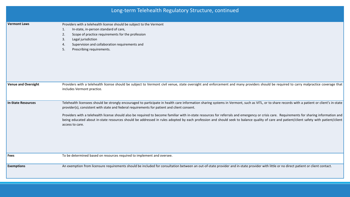|                            | Long-term Telehealth Regulatory Structure, continued                                                                                                                                                                                                                                                                                                                                                                                                                                                                                                                                                                                                                                                        |
|----------------------------|-------------------------------------------------------------------------------------------------------------------------------------------------------------------------------------------------------------------------------------------------------------------------------------------------------------------------------------------------------------------------------------------------------------------------------------------------------------------------------------------------------------------------------------------------------------------------------------------------------------------------------------------------------------------------------------------------------------|
| <b>Vermont Laws</b>        | Providers with a telehealth license should be subject to the Vermont<br>In-state, in-person standard of care,<br>1.<br>2.<br>Scope of practice requirements for the profession<br>Legal jurisdiction<br>3.<br>Supervision and collaboration requirements and<br>4.<br>Prescribing requirements.<br>5.                                                                                                                                                                                                                                                                                                                                                                                                       |
| <b>Venue and Oversight</b> | Providers with a telehealth license should be subject to Vermont civil venue, state oversight and enforcement and many providers should be required to carry malpractice coverage that<br>includes Vermont practice.                                                                                                                                                                                                                                                                                                                                                                                                                                                                                        |
| <b>In-State Resources</b>  | Telehealth licensees should be strongly encouraged to participate in health care information sharing systems in Vermont, such as VITL, or to share records with a patient or client's in-state<br>provider(s), consistent with state and federal requirements for patient and client consent.<br>Providers with a telehealth license should also be required to become familiar with in-state resources for referrals and emergency or crisis care. Requirements for sharing information and<br>being educated about in-state resources should be addressed in rules adopted by each profession and should seek to balance quality of care and patient/client safety with patient/client<br>access to care. |
| <b>Fees</b>                | To be determined based on resources required to implement and oversee.                                                                                                                                                                                                                                                                                                                                                                                                                                                                                                                                                                                                                                      |
| <b>Exemptions</b>          | An exemption from licensure requirements should be included for consultation between an out-of-state provider and in-state provider with little or no direct patient or client contact.                                                                                                                                                                                                                                                                                                                                                                                                                                                                                                                     |